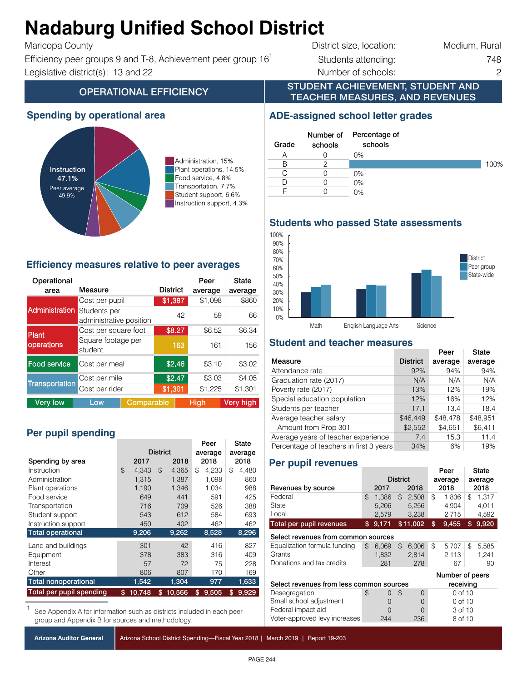#### Adadama Ibitiad Ca **Nadaburg Unified School District**

 $\mathbf{F}$ 

Efficiency peer groups 9 and T-8, Achievement peer group  $16<sup>1</sup>$  Students attending:  $748$ Instruction support 4.3% 4.3% Instruction support, 4.3% auto sum (should = 100) 100.0% Legislative district(s): 13 and 22 Number of schools: 2

**OPERATIONAL EFFICIENCY** 

| Maricopa County                                              | District size, location: | Medium, Rural |
|--------------------------------------------------------------|--------------------------|---------------|
| Efficiency peer groups 9 and T-8, Achievement peer group 16' | Students attending:      | 748           |

**ADE-assigned school letter grades**

0% 0% 0%

0%

100%

STUDENT ACHIEVEMENT, STUDENT AND TEACHER MEASURES, AND REVENUES

> Percentage of schools

### **Spending by operational area**



Administration, 15% Plant operations, 14.5% Food service, 4.8% Transportation, 7.7% Student support, 6.6% Instruction support, 4.3%

#### **Efficiency measures relative to peer averages**

| Operational<br>area   | Measure                                 |            | <b>District</b> |        | Peer<br>average | State<br>average |
|-----------------------|-----------------------------------------|------------|-----------------|--------|-----------------|------------------|
|                       | Cost per pupil                          |            | \$1,387         |        | \$1,098         | \$860            |
| <b>Administration</b> | Students per<br>administrative position |            | 42              | 59     | 66              |                  |
| Plant                 | Cost per square foot                    |            |                 | \$8.27 | \$6.52          | \$6.34           |
| operations            | Square footage per<br>student           |            |                 | 163    | 161             | 156              |
| <b>Food service</b>   | Cost per meal                           |            |                 | \$2.46 | \$3.10          | \$3.02           |
|                       | Cost per mile                           |            |                 | \$2.47 | \$3.03          | \$4.05           |
| <b>Transportation</b> | Cost per rider                          |            | \$1,301         |        | \$1,225         | \$1,301          |
| <b>Very low</b>       | Low                                     | Comparable |                 |        | <b>High</b>     | <b>Very high</b> |

# Per pupil spending

|                             |              |                 | Peer        | State       |  |
|-----------------------------|--------------|-----------------|-------------|-------------|--|
|                             |              | <b>District</b> | average     | average     |  |
| Spending by area            | 2017         | 2018            | 2018        | 2018        |  |
| Instruction                 | \$<br>4,343  | \$<br>4,365     | 4.233<br>\$ | \$<br>4,480 |  |
| Administration              | 1.315        | 1,387           | 1,098       | 860         |  |
| Plant operations            | 1,190        | 1,346           | 1,034       | 988         |  |
| Food service                | 649          | 441             | 591         | 425         |  |
| Transportation              | 716          | 709             | 526         | 388         |  |
| Student support             | 543          | 612             | 584         | 693         |  |
| Instruction support         | 450          | 402             | 462         | 462         |  |
| <b>Total operational</b>    | 9,206        | 9,262           | 8,528       | 8,296       |  |
| Land and buildings          | 301          | 42              | 416         | 827         |  |
| Equipment                   | 378          | 383             | 316         | 409         |  |
| Interest                    | 57           | 72              | 75          | 228         |  |
| Other                       | 806          | 807             | 170         | 169         |  |
| <b>Total nonoperational</b> | 1,542        | 1,304           | 977         | 1,633       |  |
| Total per pupil spending    | \$<br>10,748 | \$<br>10,566    | \$<br>9,505 | 9,929<br>\$ |  |

See Appendix A for information such as districts included in each peer group and Appendix B for sources and methodology.

**Arizona Auditor General**

Arizona School District Spending—Fiscal Year 2018 | March 2019 | Report 19-203

#### **Students who passed State assessments** 60% 70% 80% 90% 100%



### **Student and teacher measures**

|                                         |                 | Peer     | State    |
|-----------------------------------------|-----------------|----------|----------|
| Measure                                 | <b>District</b> | average  | average  |
| Attendance rate                         | 92%             | 94%      | 94%      |
| Graduation rate (2017)                  | N/A             | N/A      | N/A      |
| Poverty rate (2017)                     | 13%             | 12%      | 19%      |
| Special education population            | 12%             | 16%      | 12%      |
| Students per teacher                    | 17.1            | 13.4     | 18.4     |
| Average teacher salary                  | \$46,449        | \$48,478 | \$48,951 |
| Amount from Prop 301                    | \$2,552         | \$4,651  | \$6,411  |
| Average years of teacher experience     | 7.4             | 15.3     | 11.4     |
| Percentage of teachers in first 3 years | 34%             | 6%       | 19%      |

### **Per pupil revenues**

CTD: 070281 Nadaburg USD **Do not make changes to chart**

A 0 B 2 C 0 D 0 F 0

Number of schools

Grade

|                                          |                 |          |                |          |    | Peer            |    | State |
|------------------------------------------|-----------------|----------|----------------|----------|----|-----------------|----|-------|
|                                          | <b>District</b> |          |                | average  |    | average         |    |       |
| Revenues by source                       |                 | 2017     |                | 2018     |    | 2018            |    | 2018  |
| Federal                                  | \$              | 1.386    | $\mathfrak{L}$ | 2,508    | \$ | 1,836           | \$ | 1.317 |
| State                                    |                 | 5.206    |                | 5.256    |    | 4.904           |    | 4.011 |
| Local                                    |                 | 2,579    |                | 3,238    |    | 2,715           |    | 4,592 |
| Total per pupil revenues                 | \$.             | 9,171    |                | \$11,002 | \$ | 9,455           | \$ | 9,920 |
| Select revenues from common sources      |                 |          |                |          |    |                 |    |       |
| Equalization formula funding             | \$              | 6.069    | \$             | 6,006    | \$ | 5.707           | \$ | 5,585 |
| Grants                                   |                 | 1,832    |                | 2,814    |    | 2.113           |    | 1,241 |
| Donations and tax credits                |                 | 281      |                | 278      |    | 67              |    | 90    |
|                                          |                 |          |                |          |    | Number of peers |    |       |
| Select revenues from less common sources |                 |          |                |          |    | receiving       |    |       |
| Desegregation                            | \$              | $\Omega$ | \$             | 0        |    | 0 of 10         |    |       |
| Small school adjustment                  |                 | $\Omega$ |                | 0        |    | 0 of 10         |    |       |
| Federal impact aid                       |                 | ∩        |                | 0        |    | 3 of 10         |    |       |
| Voter-approved levy increases            |                 | 244      |                | 236      |    | 8 of 10         |    |       |

PAGE 244  $R_{\rm H}$ emoved spaces at blue 'Total revenues per pupil' (not indented) (not indented) (not indented)